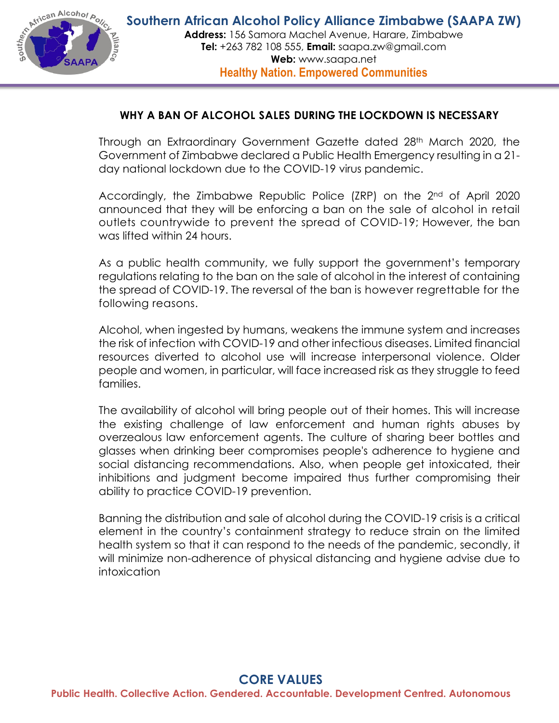

## **WHY A BAN OF ALCOHOL SALES DURING THE LOCKDOWN IS NECESSARY**

Through an Extraordinary Government Gazette dated 28th March 2020, the Government of Zimbabwe declared a Public Health Emergency resulting in a 21 day national lockdown due to the COVID-19 virus pandemic.

Accordingly, the Zimbabwe Republic Police (ZRP) on the 2<sup>nd</sup> of April 2020 announced that they will be enforcing a ban on the sale of alcohol in retail outlets countrywide to prevent the spread of COVID-19; However, the ban was lifted within 24 hours.

As a public health community, we fully support the government's temporary regulations relating to the ban on the sale of alcohol in the interest of containing the spread of COVID-19. The reversal of the ban is however regrettable for the following reasons.

Alcohol, when ingested by humans, weakens the immune system and increases the risk of infection with COVID-19 and other infectious diseases. Limited financial resources diverted to alcohol use will increase interpersonal violence. Older people and women, in particular, will face increased risk as they struggle to feed families.

The availability of alcohol will bring people out of their homes. This will increase the existing challenge of law enforcement and human rights abuses by overzealous law enforcement agents. The culture of sharing beer bottles and glasses when drinking beer compromises people's adherence to hygiene and social distancing recommendations. Also, when people get intoxicated, their inhibitions and judgment become impaired thus further compromising their ability to practice COVID-19 prevention.

Banning the distribution and sale of alcohol during the COVID-19 crisis is a critical element in the country's containment strategy to reduce strain on the limited health system so that it can respond to the needs of the pandemic, secondly, it will minimize non-adherence of physical distancing and hygiene advise due to intoxication